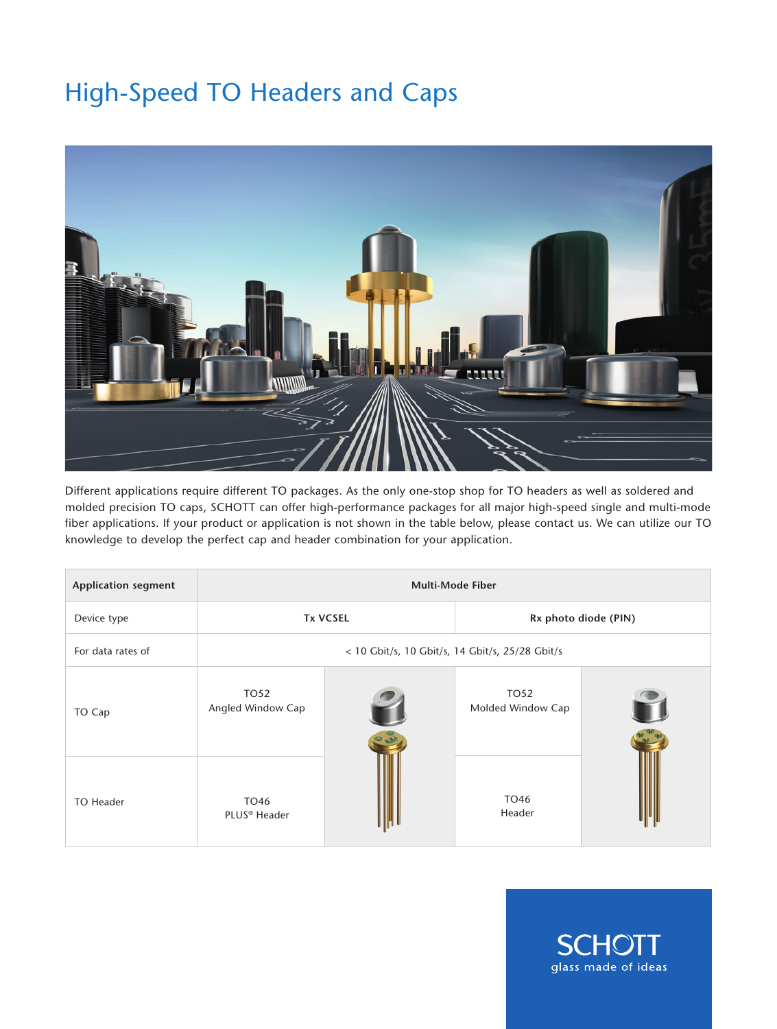## High-Speed TO Headers and Caps



Different applications require different TO packages. As the only one-stop shop for TO headers as well as soldered and molded precision TO caps, SCHOTT can offer high-performance packages for all major high-speed single and multi-mode fiber applications. If your product or application is not shown in the table below, please contact us. We can utilize our TO knowledge to develop the perfect cap and header combination for your application.

| <b>Application segment</b> | <b>Multi-Mode Fiber</b>                         |  |                           |  |  |
|----------------------------|-------------------------------------------------|--|---------------------------|--|--|
| Device type                | <b>Tx VCSEL</b>                                 |  | Rx photo diode (PIN)      |  |  |
| For data rates of          | < 10 Gbit/s, 10 Gbit/s, 14 Gbit/s, 25/28 Gbit/s |  |                           |  |  |
| TO Cap                     | TO52<br>Angled Window Cap                       |  | TO52<br>Molded Window Cap |  |  |
| TO Header                  | TO46<br>PLUS <sup>®</sup> Header                |  | TO46<br>Header            |  |  |